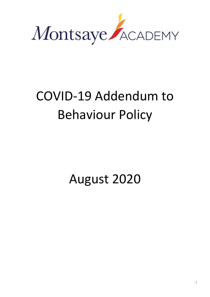

# COVID-19 Addendum to Behaviour Policy

August 2020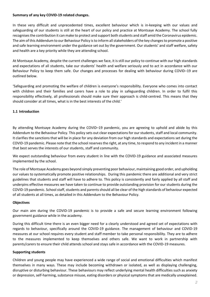#### **Summary of any key COVID-19 related changes.**

In these very difficult and unprecedented times, excellent behaviour which is in-keeping with our values and safeguarding of our students is still at the heart of our policy and practice at Montsaye Academy. The school fully recognises the contribution it can make to protect and support both students and staff amid the Coronavirus epidemic. The aim of this Addendum to our Behaviour Policy is to inform all stakeholders of the key changes to promote a positive and safe learning environment under the guidance set out by the government. Our students' and staff welfare, safety and health are a key priority while they are attending school.

At Montsaye Academy, despite the current challenges we face, it is still our policy to continue with our high standards and expectations of all students, take our students' health and welfare seriously and to act in accordance with our Behaviour Policy to keep them safe. Our changes and processes for dealing with behaviour during COVID–19 are outlined below.

'Safeguarding and promoting the welfare of children is everyone's responsibility. Everyone who comes into contact with children and their families and carers have a role to play in safeguarding children. In order to fulfil this responsibility effectively, all professionals should make sure their approach is child-centred. This means that they should consider at all times, what is in the best interests of the child.'

# **1.1 Introduction**

By attending Montsaye Academy during the COVID–19 pandemic, you are agreeing to uphold and abide by this Addendum to the Behaviour Policy. This policy sets out clear expectations for our students, staff and local community. It clarifies the sanctions that will be in place for any deviation from our high standards and expectations set during the COVID-19 pandemic. Please note that the school reserves the right, at any time, to respond to any incident in a manner that best serves the interests of our students, staff and community.

We expect outstanding behaviour from every student in line with the COVID-19 guidance and associated measures implemented by the school.

The role of Montsaye Academy goes beyond simply preventing poor behaviour, maintaining good order, and upholding our values to systematically promote positive relationships. During this pandemic there are additional and very strict guidelines that students and staff will have to adhere to. This policy is consistently and fairly applied by all staff and underpins effective measures we have taken to continue to provide outstanding provision for our students during the COVID-19 pandemic. School staff, students and parents should all be clear of the high standards of behaviour expected of all students at all times, as detailed in this Addendum to the Behaviour Policy.

# **Objectives**

Our main aim during the COVID-19 pandemic is to provide a safe and secure learning environment following government guidance while in the academy.

During this difficult time there is an even bigger need for a clearly understood and agreed set of expectations with regards to behaviour, specifically around the COVID-19 guidance. The management of behaviour and COVID-19 measures at our school requires every student and staff member to take personal responsibility. They are to adhere to the measures implemented to keep themselves and others safe. We want to work in partnership with parents/carers to ensure their child attends school and stays safe in accordance with the COVID-19 measures.

#### **Supporting students**

Children and young people may have experienced a wide range of social and emotional difficulties which manifest themselves in many ways. These may include becoming withdrawn or isolated, as well as displaying challenging, disruptive or disturbing behaviour. These behaviours may reflect underlying mental health difficulties such as anxiety or depression, self-harming, substance misuse, eating disorders or physical symptoms that are medically unexplained.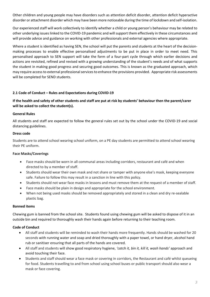Other children and young people may have disorders such as attention deficit disorder, attention deficit hyperactive disorder or attachment disorder which may have been more noticeable during the time of lockdown and self-isolation.

Our experienced staff will work collectively to identify whether a child or young person's behaviour may be related to other underlying issues linked to the COVID-19 pandemic and will support them effectively in these circumstances and will provide advice and guidance on working with other professionals and external agencies where appropriate.

Where a student is identified as having SEN, the school will put the parents and students at the heart of the decisionmaking processes to enable effective personalised adjustments to be put in place in order to meet need. This personalised approach to SEN support will take the form of a four-part cycle through which earlier decisions and actions are revisited, refined and revised with a growing understanding of the student's needs and of what supports the student in making good progress and securing good outcomes. This is known as the graduated approach, which may require access to external professional services to enhance the provisions provided. Appropriate risk assessments will be completed for SEND students.

# **2.1 Code of Conduct – Rules and Expectations during COVID-19**

# **If the health and safety of other students and staff are put at risk by students' behaviour then the parent/carer will be asked to collect the student(s).**

# **General Rules**

All students and staff are expected to follow the general rules set out by the school under the COVID-19 and social distancing guidelines.

#### **Dress code**

Students are to attend school wearing school uniform, on a PE day students are permitted to attend school wearing their PE uniform.

# **Face Masks/Coverings**

- Face masks should be worn in all communal areas including corridors, restaurant and café and when directed to by a member of staff.
- Students should wear their own mask and not share or tamper with anyone else's mask, keeping everyone safe. Failure to follow this may result in a sanction in line with this policy.
- Students should not wear face masks in lessons and must remove them at the request of a member of staff.
- Face masks should be plain in design and appropriate for the school environment.
- When not being used masks should be removed appropriately and stored in a clean and dry re-sealable plastic bag.

# **Banned items**

Chewing gum is banned from the school site. Students found using chewing gum will be asked to dispose of it in an outside bin and required to thoroughly wash their hands again before returning to their teaching room.

# **Code of Conduct**

- All staff and students will be reminded to wash their hands more frequently. Hands should be washed for 20 seconds with running water and soap and dried thoroughly with a paper towel, or hand dryer, alcohol hand rub or sanitiser ensuring that all parts of the hands are covered.
- All staff and students will show good respiratory hygiene, *'catch it, bin it, kill it, wash hands'* approach and avoid touching their face.
- Students and staff should wear a face mask or covering in corridors, the Restaurant and café whilst queueing for food. Students travelling to and from school using school buses or public transport should also wear a mask or face covering.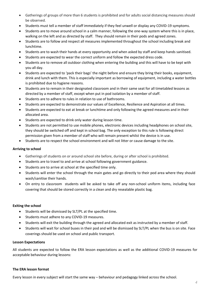- Gatherings of groups of more than 6 students is prohibited and for adults social distancing measures should be observed.
- Students must tell a member of staff immediately if they feel unwell or display any COVID-19 symptoms.
- Students are to move around school in a calm manner, following the one-way system where this is in place, walking on the left and as directed by staff. They should remain in their pods and agreed zones.
- Students are to follow and respect all measures implemented throughout the school including break and lunchtime.
- Students are to wash their hands at every opportunity and when asked by staff and keep hands sanitised.
- Students are expected to wear the correct uniform and follow the expected dress code.
- Students are to remove all outdoor clothing when entering the building and this will have to be kept with you all day.
- Students are expected to 'pack their bags' the night before and ensure they bring their books, equipment, drink and lunch with them. This is especially important as borrowing of equipment, including a water bottles is prohibited due to hygiene reasons.
- Students are to remain in their designated classroom and in their same seat for all timetabled lessons as directed by a member of staff, except when put in pod isolation by a member of staff.
- Students are to adhere to rules in relation to use of bathrooms.
- Students are expected to demonstrate our values of Excellence, Resilience and Aspiration at all times.
- Students are expected to eat at break or lunchtime and only following the agreed measures and in their allocated area.
- Students are expected to drink only water during lesson time.
- Students are not permitted to use mobile phones, electronic devices including headphones on school site, they should be switched off and kept in school bag. The only exception to this rule is following direct permission given from a member of staff who will remain present whilst the device is in use.
- Students are to respect the school environment and will not litter or cause damage to the site.

# **Arriving to school**

- Gatherings of students on or around school site before, during or after school is prohibited.
- Students are to travel to and arrive at school following government guidance.
- Students are to arrive at school at the specified time only.
- Students will enter the school through the main gates and go directly to their pod area where they should wash/sanitise their hands.
- On entry to classroom students will be asked to take off any non-school uniform items, including face covering that should be stored correctly in a clean and dry resealable plastic bag.

# **Exiting the school**

- Students will be dismissed by SLT/PL at the specified time.
- Students must adhere to any COVID-19 measures.
- Students will exit the building through the agreed and allocated exit as instructed by a member of staff.
- Students will wait for school buses in their pod and will be dismissed by SLT/PL when the bus is on site. Face coverings should be used on school and public transport.

# **Lesson Expectations**

All students are expected to follow the ERA lesson expectations as well as the additional COVID-19 measures for acceptable behaviour during lessons:

# **The ERA lesson format**

Every lesson in every subject will start the same way – behaviour and pedagogy linked across the school.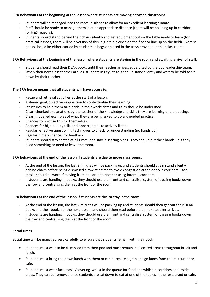#### **ERA Behaviours at the beginning of the lesson where students are moving between classrooms:**

- Students will be managed into the room in silence to allow for an excellent learning climate.
- Staff should be ready to manage them in at an appropriate distance (there will be no lining up in corridors for H&S reasons).
- Students should stand behind their chairs silently and get equipment out on the table ready to learn (for practical lessons, there will be a version of this, e.g. sit in a circle on the floor or line up on the field). Exercise books should be either carried by students in bags or placed in the trays provided in their classroom.

#### **ERA Behaviours at the beginning of the lesson where students are staying in the room and awaiting arrival of staff:**

- Students should read their DEAR books until their teacher arrives, supervised by the pod leadership team.
- When their next class teacher arrives, students in Key Stage 3 should stand silently and wait to be told to sit down by their teacher.

#### **The ERA lesson means that all students will have access to:**

- Recap and retrieval activities at the start of a lesson.
- A shared goal, objective or question to contextualise their learning.
- Structures to help them take pride in their work: dates and titles should be underlined.
- Clear, chunked explanations by the teacher of the knowledge and skills they are learning and practicing.
- Clear, modelled examples of what they are being asked to do and guided practice.
- Chances to practise this for themselves.
- Chances for high quality talk, and opportunities to actively listen.
- Regular, effective questioning techniques to check for understanding (no hands up).
- Regular, timely chances for feedback.
- Students should stay seated at all times, and stay in seating plans they should put their hands up if they need something or need to leave the room.

#### **ERA behaviours at the end of the lesson if students are due to move classrooms:**

- At the end of the lesson, the last 2 minutes will be packing up and students should again stand silently behind chairs before being dismissed a row at a time to avoid congestion at the door/in corridors. Face masks should be worn if moving from one area to another using internal corridors.
- If students are handing in books, they should use the 'front and centralise' system of passing books down the row and centralising them at the front of the room.

#### **ERA behaviours at the end of the lesson if students are due to stay in the room:**

- At the end of the lesson, the last 2 minutes will be packing up and students should then get out their DEAR books and their books for the next lesson, and should then read before their next teacher arrives.
- If students are handing in books, they should use the 'front and centralise' system of passing books down the row and centralising them at the front of the room.

#### **Social times**

Social time will be managed very carefully to ensure that students remain with their pod.

- Students must wait to be dismissed from their pod and must remain in allocated areas throughout break and lunch.
- Students must bring their own lunch with them or can purchase a grab and go lunch from the restaurant or café.
- Students must wear face masks/covering whilst in the queue for food and whilst in corridors and inside areas. They can be removed once students are sat down to eat at one of the tables in the restaurant or café.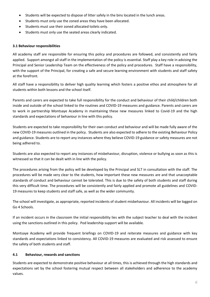- Students will be expected to dispose of litter safely in the bins located in the lunch areas.
- Students must only use the zoned areas they have been allocated.
- Students must use their zoned allocated toilets only.
- Students must only use the seated areas clearly indicated.

# **3.1 Behaviour responsibilities**

All academy staff are responsible for ensuring this policy and procedures are followed, and consistently and fairly applied. Support amongst all staff in the implementation of the policy is essential. Staff play a key role in advising the Principal and Senior Leadership Team on the effectiveness of the policy and procedures. Staff have a responsibility, with the support of the Principal, for creating a safe and secure learning environment with students and staff safety at the forefront.

All staff have a responsibility to deliver high quality learning which fosters a positive ethos and atmosphere for all students within both lessons and the school itself.

Parents and carers are expected to take full responsibility for the conduct and behaviour of their child/children both inside and outside of the school linked to the routines and COVID-19 measures and guidance. Parents and carers are to work in partnership Montsaye Academy in maintaining these new measures linked to Covid-19 and the high standards and expectations of behaviour in line with this policy.

Students are expected to take responsibility for their own conduct and behaviour and will be made fully aware of the new COVID-19 measures outlined in the policy. Students are also expected to adhere to the existing Behaviour Policy and guidance. Students are to report any instances where they believe COVID-19 guidance or safety measures are not being adhered to.

Students are also expected to report any instances of misbehaviour, disruption, violence or bullying as soon as this is witnessed so that it can be dealt with in line with the policy.

The procedures arising from the policy will be developed by the Principal and SLT in consultation with the staff. The procedures will be made very clear to the students, how important these new measures are and that unacceptable standards of conduct and behaviour cannot be tolerated. This is due to the safety of both students and staff during this very difficult time. The procedures will be consistently and fairly applied and promote all guidelines and COVID-19 measures to keep students and staff safe, as well as the wider community.

The school will investigate, as appropriate, reported incidents of student misbehaviour. All incidents will be logged on Go 4 Schools.

If an incident occurs in the classroom the initial responsibility lies with the subject teacher to deal with the incident using the sanctions outlined in this policy. Pod leadership support will be available.

Montsaye Academy will provide frequent briefings on COVID-19 and reiterate measures and guidance with key standards and expectations linked to consistency. All COVID-19 measures are evaluated and risk assessed to ensure the safety of both students and staff.

# **4.1 Behaviour, rewards and sanctions**

Students are expected to demonstrate positive behaviour at all times, this is achieved through the high standards and expectations set by the school fostering mutual respect between all stakeholders and adherence to the academy values.